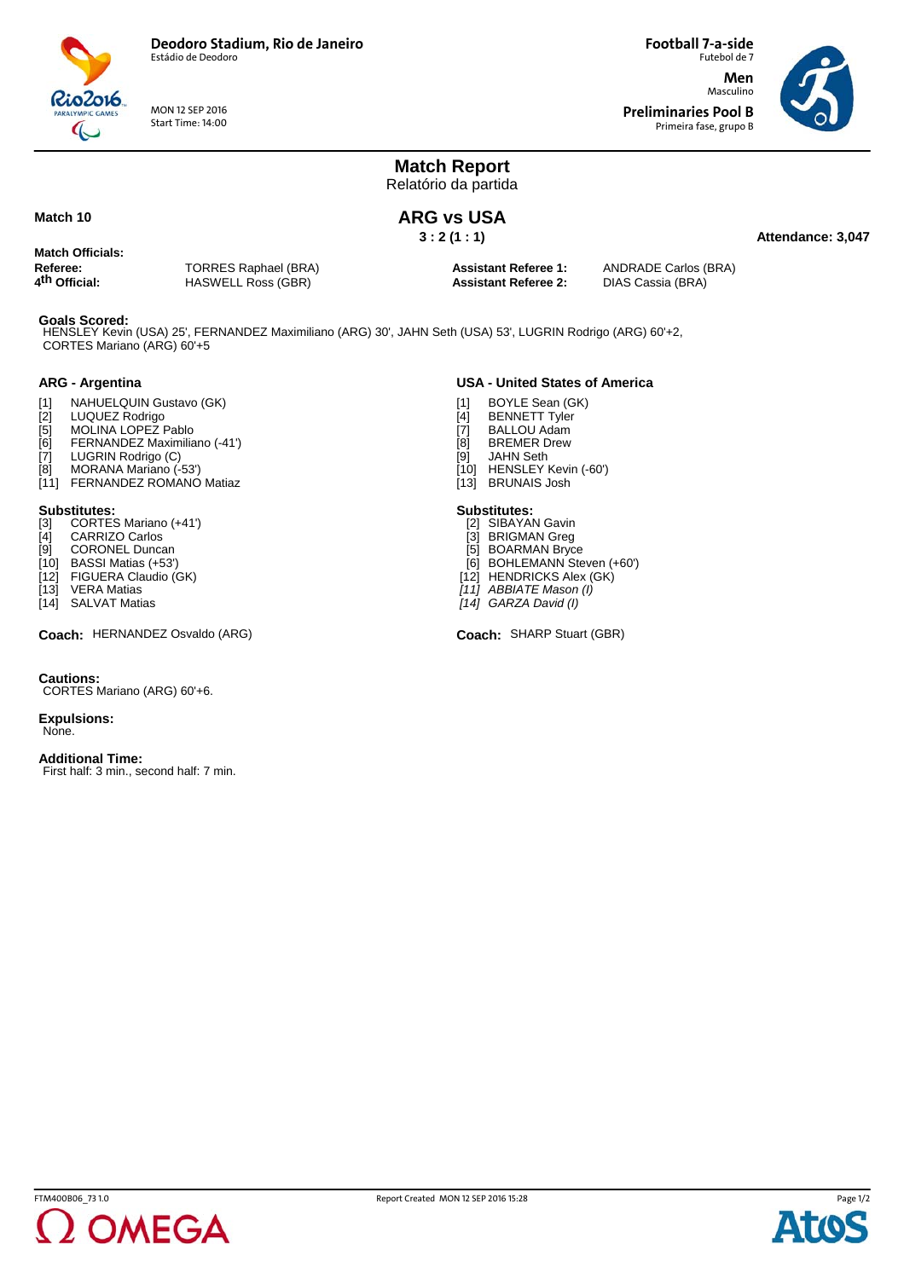

MON 12 SEP 2016 Start Time: 14:00

Futebol de 7 **Men** Masculino **Preliminaries Pool B**

**Football 7-a-side**

Primeira fase, grupo B



**Attendance: 3,047**

**Match Report** Relatório da partida

## **ARG vs USA**

**3 : 2 (1 : 1)**

## **Match 10**

**Match Officials:**

**Referee:** TORRES Raphael (BRA)<br> **4<sup>th</sup> Official:** HASWELL Ross (GBR) **4th Official:** HASWELL Ross (GBR)

**Assistant Referee 2:** DIAS Cassia (BRA)

**Assistant Referee 1:** ANDRADE Carlos (BRA)

### **Goals Scored:**

CORTES Mariano (ARG) 60'+5 HENSLEY Kevin (USA) 25', FERNANDEZ Maximiliano (ARG) 30', JAHN Seth (USA) 53', LUGRIN Rodrigo (ARG) 60'+2,

### **ARG - Argentina**

- [1] NAHUELQUIN Gustavo (GK)<br>[2] LUQUEZ Rodrigo
- [2] LUQUEZ Rodrigo<br>[5] MOLINA LOPEZ R
- [5] MOLINA LOPEŽ Pablo<br>[6] FERNANDEZ Maximilia
- FERNANDEZ Maximiliano (-41')
- [7] LUGRIN Rodrigo (C)<br>[8] MORANA Mariano (-
- MORANA Mariano (-53')
- [11] FERNANDEZ ROMANO Matiaz

- **Substitutes:** [3] CORTES Mariano (+41')
- [4] CARRIZO Carlos
- [9] CORONEL Duncan
- [10] BASSI Matias (+53')
- [12] FIGUERA Claudio (GK)<br>[13] VERA Matias
- [13] VERA Matias
- [14] SALVAT Matias

Coach: HERNANDEZ Osvaldo (ARG) **Sharp Stuart (CBR)** Coach: SHARP Stuart (GBR)

### **Cautions:**

CORTES Mariano (ARG) 60'+6.

**Expulsions:** None.

### **Additional Time:**

First half: 3 min., second half: 7 min.



- [1] BOYLE Sean (GK)
- [4] BENNETT Tyler<br>[7] BALLOU Adam
- [7] BALLOU Adam<br>[8] BREMER Drew
- [8] BREMER Drew<br>[9] JAHN Seth JAHN Seth
- [10] HENSLEY Kevin (-60')
- [13] BRUNAIS Josh

### **Substitutes:**

- [2] SIBAYAN Gavin
- [3] BRIGMAN Greg
- [5] BOARMAN Bryce [6] BOHLEMANN Steven (+60')
- [12] HENDRICKS Alex (GK)
- *[11] ABBIATE Mason (I)*
- *[14] GARZA David (I)*